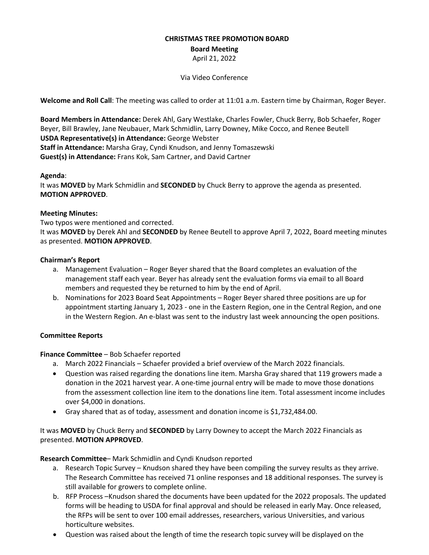## **CHRISTMAS TREE PROMOTION BOARD**

**Board Meeting**

April 21, 2022

Via Video Conference

**Welcome and Roll Call**: The meeting was called to order at 11:01 a.m. Eastern time by Chairman, Roger Beyer.

**Board Members in Attendance:** Derek Ahl, Gary Westlake, Charles Fowler, Chuck Berry, Bob Schaefer, Roger Beyer, Bill Brawley, Jane Neubauer, Mark Schmidlin, Larry Downey, Mike Cocco, and Renee Beutell **USDA Representative(s) in Attendance:** George Webster **Staff in Attendance:** Marsha Gray, Cyndi Knudson, and Jenny Tomaszewski **Guest(s) in Attendance:** Frans Kok, Sam Cartner, and David Cartner

# **Agenda**:

It was **MOVED** by Mark Schmidlin and **SECONDED** by Chuck Berry to approve the agenda as presented. **MOTION APPROVED**.

## **Meeting Minutes:**

Two typos were mentioned and corrected.

It was **MOVED** by Derek Ahl and **SECONDED** by Renee Beutell to approve April 7, 2022, Board meeting minutes as presented. **MOTION APPROVED**.

## **Chairman's Report**

- a. Management Evaluation Roger Beyer shared that the Board completes an evaluation of the management staff each year. Beyer has already sent the evaluation forms via email to all Board members and requested they be returned to him by the end of April.
- b. Nominations for 2023 Board Seat Appointments Roger Beyer shared three positions are up for appointment starting January 1, 2023 - one in the Eastern Region, one in the Central Region, and one in the Western Region. An e-blast was sent to the industry last week announcing the open positions.

# **Committee Reports**

#### **Finance Committee** – Bob Schaefer reported

- a. March 2022 Financials Schaefer provided a brief overview of the March 2022 financials.
- Question was raised regarding the donations line item. Marsha Gray shared that 119 growers made a donation in the 2021 harvest year. A one-time journal entry will be made to move those donations from the assessment collection line item to the donations line item. Total assessment income includes over \$4,000 in donations.
- Gray shared that as of today, assessment and donation income is \$1,732,484.00.

It was **MOVED** by Chuck Berry and **SECONDED** by Larry Downey to accept the March 2022 Financials as presented. **MOTION APPROVED**.

**Research Committee**– Mark Schmidlin and Cyndi Knudson reported

- a. Research Topic Survey Knudson shared they have been compiling the survey results as they arrive. The Research Committee has received 71 online responses and 18 additional responses. The survey is still available for growers to complete online.
- b. RFP Process –Knudson shared the documents have been updated for the 2022 proposals. The updated forms will be heading to USDA for final approval and should be released in early May. Once released, the RFPs will be sent to over 100 email addresses, researchers, various Universities, and various horticulture websites.
- Question was raised about the length of time the research topic survey will be displayed on the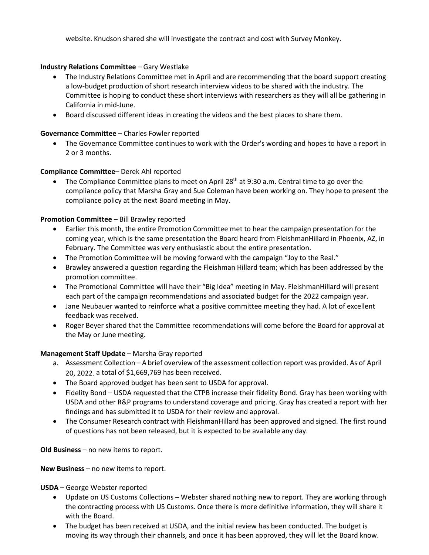website. Knudson shared she will investigate the contract and cost with Survey Monkey.

## **Industry Relations Committee** – Gary Westlake

- The Industry Relations Committee met in April and are recommending that the board support creating a low-budget production of short research interview videos to be shared with the industry. The Committee is hoping to conduct these short interviews with researchers as they will all be gathering in California in mid-June.
- Board discussed different ideas in creating the videos and the best places to share them.

#### **Governance Committee** – Charles Fowler reported

• The Governance Committee continues to work with the Order's wording and hopes to have a report in 2 or 3 months.

## **Compliance Committee**– Derek Ahl reported

• The Compliance Committee plans to meet on April 28<sup>th</sup> at 9:30 a.m. Central time to go over the compliance policy that Marsha Gray and Sue Coleman have been working on. They hope to present the compliance policy at the next Board meeting in May.

#### **Promotion Committee** – Bill Brawley reported

- Earlier this month, the entire Promotion Committee met to hear the campaign presentation for the coming year, which is the same presentation the Board heard from FleishmanHillard in Phoenix, AZ, in February. The Committee was very enthusiastic about the entire presentation.
- The Promotion Committee will be moving forward with the campaign "Joy to the Real."
- Brawley answered a question regarding the Fleishman Hillard team; which has been addressed by the promotion committee.
- The Promotional Committee will have their "Big Idea" meeting in May. FleishmanHillard will present each part of the campaign recommendations and associated budget for the 2022 campaign year.
- Jane Neubauer wanted to reinforce what a positive committee meeting they had. A lot of excellent feedback was received.
- Roger Beyer shared that the Committee recommendations will come before the Board for approval at the May or June meeting.

#### **Management Staff Update** – Marsha Gray reported

- a. Assessment Collection A brief overview of the assessment collection report was provided. As of April 20, 2022, a total of \$1,669,769 has been received.
- The Board approved budget has been sent to USDA for approval.
- Fidelity Bond USDA requested that the CTPB increase their fidelity Bond. Gray has been working with USDA and other R&P programs to understand coverage and pricing. Gray has created a report with her findings and has submitted it to USDA for their review and approval.
- The Consumer Research contract with FleishmanHillard has been approved and signed. The first round of questions has not been released, but it is expected to be available any day.

**Old Business** – no new items to report.

#### **New Business** – no new items to report.

**USDA** – George Webster reported

- Update on US Customs Collections Webster shared nothing new to report. They are working through the contracting process with US Customs. Once there is more definitive information, they will share it with the Board.
- The budget has been received at USDA, and the initial review has been conducted. The budget is moving its way through their channels, and once it has been approved, they will let the Board know.